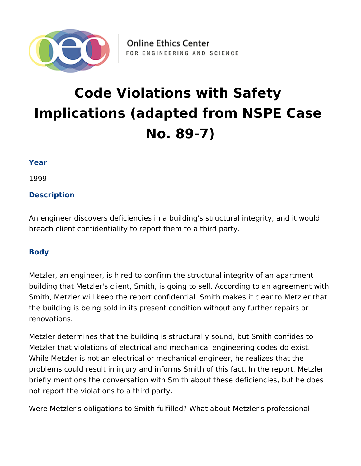

# **Code Violations with Safety Implications (adapted from NSPE Case No. 89-7)**

### **Year**

1999

## **Description**

An engineer discovers deficiencies in a building's structural integrity, and it would breach client confidentiality to report them to a third party.

## **Body**

Metzler, an engineer, is hired to confirm the structural integrity of an apartment building that Metzler's client, Smith, is going to sell. According to an agreement with Smith, Metzler will keep the report confidential. Smith makes it clear to Metzler that the building is being sold in its present condition without any further repairs or renovations.

Metzler determines that the building is structurally sound, but Smith confides to Metzler that violations of electrical and mechanical engineering codes do exist. While Metzler is not an electrical or mechanical engineer, he realizes that the problems could result in injury and informs Smith of this fact. In the report, Metzler briefly mentions the conversation with Smith about these deficiencies, but he does not report the violations to a third party.

Were Metzler's obligations to Smith fulfilled? What about Metzler's professional